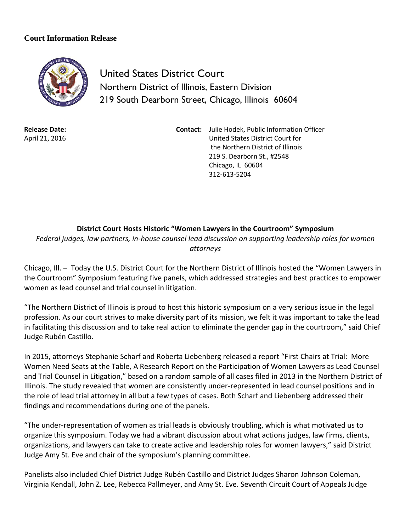## **Court Information Release**



United States District Court Northern District of Illinois, Eastern Division 219 South Dearborn Street, Chicago, Illinois 60604

**Release Date:** April 21, 2016 **Contact:** Julie Hodek, Public Information Officer United States District Court for the Northern District of Illinois 219 S. Dearborn St., #2548 Chicago, IL 60604 312-613-5204

## **District Court Hosts Historic "Women Lawyers in the Courtroom" Symposium**

*Federal judges, law partners, in-house counsel lead discussion on supporting leadership roles for women attorneys*

Chicago, Ill. – Today the U.S. District Court for the Northern District of Illinois hosted the "Women Lawyers in the Courtroom" Symposium featuring five panels, which addressed strategies and best practices to empower women as lead counsel and trial counsel in litigation.

"The Northern District of Illinois is proud to host this historic symposium on a very serious issue in the legal profession. As our court strives to make diversity part of its mission, we felt it was important to take the lead in facilitating this discussion and to take real action to eliminate the gender gap in the courtroom," said Chief Judge Rubén Castillo.

In 2015, attorneys Stephanie Scharf and Roberta Liebenberg released a report "First Chairs at Trial: More Women Need Seats at the Table, A Research Report on the Participation of Women Lawyers as Lead Counsel and Trial Counsel in Litigation," based on a random sample of all cases filed in 2013 in the Northern District of Illinois. The study revealed that women are consistently under-represented in lead counsel positions and in the role of lead trial attorney in all but a few types of cases. Both Scharf and Liebenberg addressed their findings and recommendations during one of the panels.

"The under-representation of women as trial leads is obviously troubling, which is what motivated us to organize this symposium. Today we had a vibrant discussion about what actions judges, law firms, clients, organizations, and lawyers can take to create active and leadership roles for women lawyers," said District Judge Amy St. Eve and chair of the symposium's planning committee.

Panelists also included Chief District Judge Rubén Castillo and District Judges Sharon Johnson Coleman, Virginia Kendall, John Z. Lee, Rebecca Pallmeyer, and Amy St. Eve. Seventh Circuit Court of Appeals Judge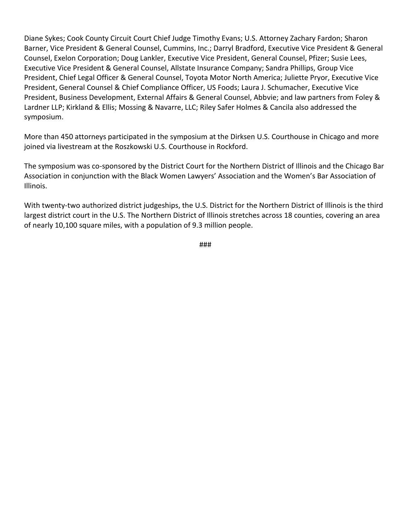Diane Sykes; Cook County Circuit Court Chief Judge Timothy Evans; U.S. Attorney Zachary Fardon; Sharon Barner, Vice President & General Counsel, Cummins, Inc.; Darryl Bradford, Executive Vice President & General Counsel, Exelon Corporation; Doug Lankler, Executive Vice President, General Counsel, Pfizer; Susie Lees, Executive Vice President & General Counsel, Allstate Insurance Company; Sandra Phillips, Group Vice President, Chief Legal Officer & General Counsel, Toyota Motor North America; Juliette Pryor, Executive Vice President, General Counsel & Chief Compliance Officer, US Foods; Laura J. Schumacher, Executive Vice President, Business Development, External Affairs & General Counsel, Abbvie; and law partners from Foley & Lardner LLP; Kirkland & Ellis; Mossing & Navarre, LLC; Riley Safer Holmes & Cancila also addressed the symposium.

More than 450 attorneys participated in the symposium at the Dirksen U.S. Courthouse in Chicago and more joined via livestream at the Roszkowski U.S. Courthouse in Rockford.

The symposium was co-sponsored by the District Court for the Northern District of Illinois and the Chicago Bar Association in conjunction with the Black Women Lawyers' Association and the Women's Bar Association of Illinois.

With twenty-two authorized district judgeships, the U.S. District for the Northern District of Illinois is the third largest district court in the U.S. The Northern District of Illinois stretches across 18 counties, covering an area of nearly 10,100 square miles, with a population of 9.3 million people.

###